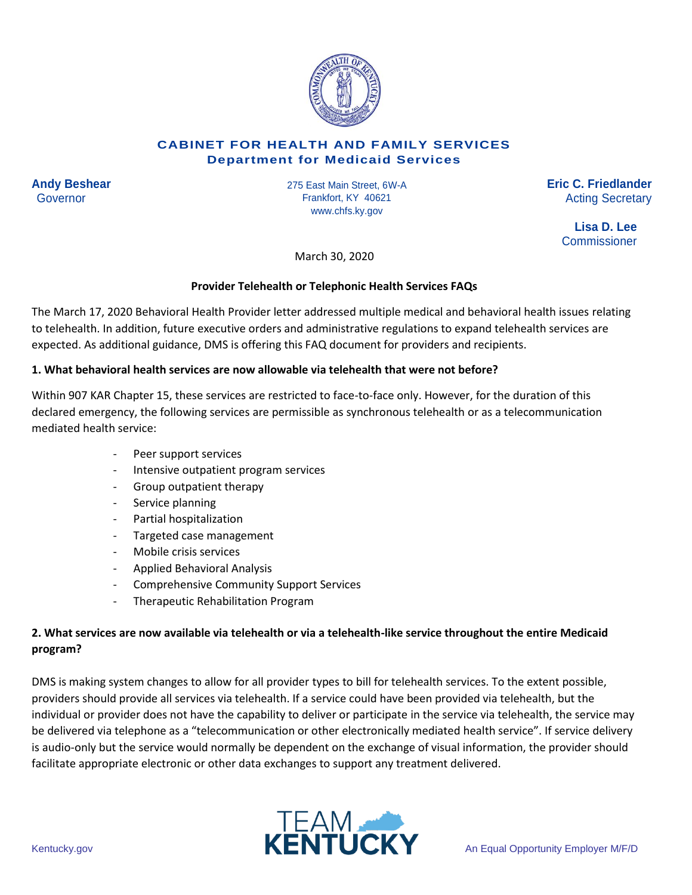

#### **CABINET FOR HEALTH AND FAMILY SERVICES Department for Medicaid Services**

**Andy Beshear Eric C. Friedlander** 275 East Main Street, 6W-A Governor **Governor Example Secretary Frankfort, KY 40621 Acting Secretary Acting Secretary** Frankfort, KY 40621 www.chfs.ky.gov

**Lisa D. Lee Commissioner** 

March 30, 2020

### **Provider Telehealth or Telephonic Health Services FAQs**

The March 17, 2020 Behavioral Health Provider letter addressed multiple medical and behavioral health issues relating to telehealth. In addition, future executive orders and administrative regulations to expand telehealth services are expected. As additional guidance, DMS is offering this FAQ document for providers and recipients.

#### **1. What behavioral health services are now allowable via telehealth that were not before?**

Within 907 KAR Chapter 15, these services are restricted to face-to-face only. However, for the duration of this declared emergency, the following services are permissible as synchronous telehealth or as a telecommunication mediated health service:

- Peer support services
- Intensive outpatient program services
- Group outpatient therapy
- Service planning
- Partial hospitalization
- Targeted case management
- Mobile crisis services
- Applied Behavioral Analysis
- Comprehensive Community Support Services
- Therapeutic Rehabilitation Program

# **2. What services are now available via telehealth or via a telehealth-like service throughout the entire Medicaid program?**

DMS is making system changes to allow for all provider types to bill for telehealth services. To the extent possible, providers should provide all services via telehealth. If a service could have been provided via telehealth, but the individual or provider does not have the capability to deliver or participate in the service via telehealth, the service may be delivered via telephone as a "telecommunication or other electronically mediated health service". If service delivery is audio-only but the service would normally be dependent on the exchange of visual information, the provider should facilitate appropriate electronic or other data exchanges to support any treatment delivered.

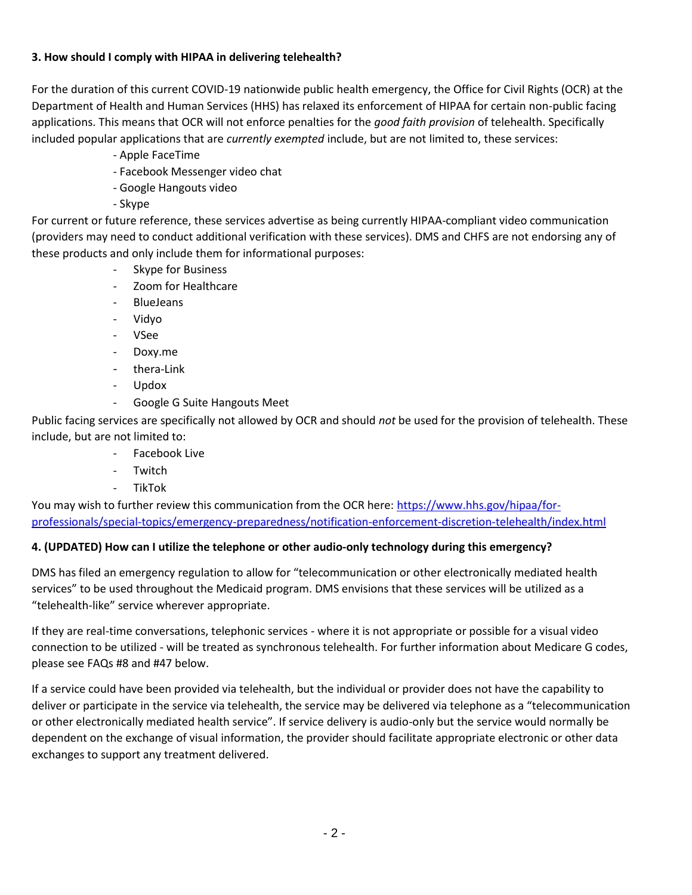### **3. How should I comply with HIPAA in delivering telehealth?**

For the duration of this current COVID-19 nationwide public health emergency, the Office for Civil Rights (OCR) at the Department of Health and Human Services (HHS) has relaxed its enforcement of HIPAA for certain non-public facing applications. This means that OCR will not enforce penalties for the *good faith provision* of telehealth. Specifically included popular applications that are *currently exempted* include, but are not limited to, these services:

- Apple FaceTime
- Facebook Messenger video chat
- Google Hangouts video
- Skype

For current or future reference, these services advertise as being currently HIPAA-compliant video communication (providers may need to conduct additional verification with these services). DMS and CHFS are not endorsing any of these products and only include them for informational purposes:

- Skype for Business
- Zoom for Healthcare
- BlueJeans
- Vidyo
- VSee
- Doxy.me
- thera-Link
- Updox
- Google G Suite Hangouts Meet

Public facing services are specifically not allowed by OCR and should *not* be used for the provision of telehealth. These include, but are not limited to:

- Facebook Live
- Twitch
- TikTok

You may wish to further review this communication from the OCR here: [https://www.hhs.gov/hipaa/for](https://www.hhs.gov/hipaa/for-professionals/special-topics/emergency-preparedness/notification-enforcement-discretion-telehealth/index.html)[professionals/special-topics/emergency-preparedness/notification-enforcement-discretion-telehealth/index.html](https://www.hhs.gov/hipaa/for-professionals/special-topics/emergency-preparedness/notification-enforcement-discretion-telehealth/index.html)

# **4. (UPDATED) How can I utilize the telephone or other audio-only technology during this emergency?**

DMS has filed an emergency regulation to allow for "telecommunication or other electronically mediated health services" to be used throughout the Medicaid program. DMS envisions that these services will be utilized as a "telehealth-like" service wherever appropriate.

If they are real-time conversations, telephonic services - where it is not appropriate or possible for a visual video connection to be utilized - will be treated as synchronous telehealth. For further information about Medicare G codes, please see FAQs #8 and #47 below.

If a service could have been provided via telehealth, but the individual or provider does not have the capability to deliver or participate in the service via telehealth, the service may be delivered via telephone as a "telecommunication or other electronically mediated health service". If service delivery is audio-only but the service would normally be dependent on the exchange of visual information, the provider should facilitate appropriate electronic or other data exchanges to support any treatment delivered.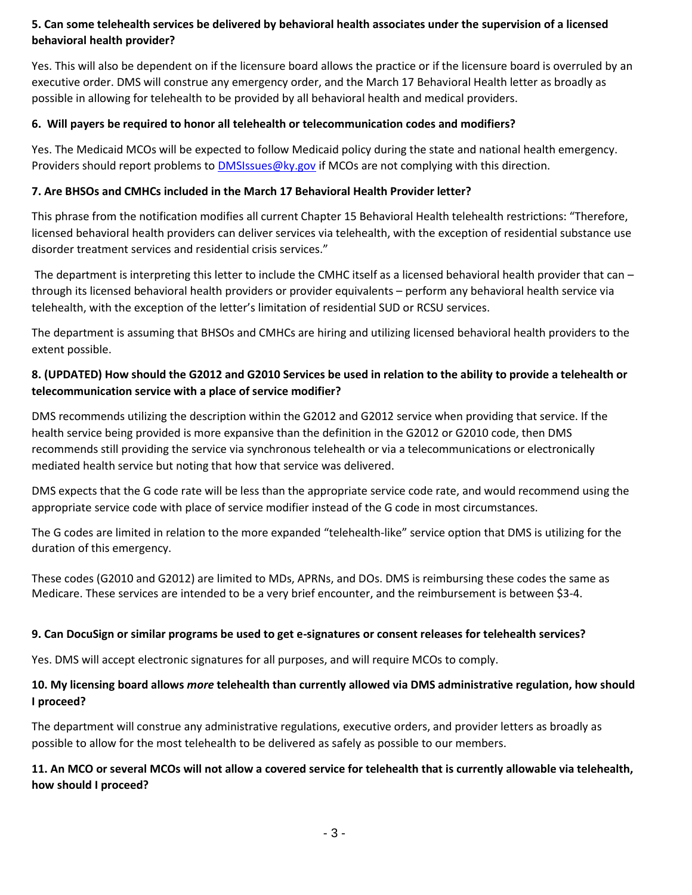## **5. Can some telehealth services be delivered by behavioral health associates under the supervision of a licensed behavioral health provider?**

Yes. This will also be dependent on if the licensure board allows the practice or if the licensure board is overruled by an executive order. DMS will construe any emergency order, and the March 17 Behavioral Health letter as broadly as possible in allowing for telehealth to be provided by all behavioral health and medical providers.

### **6. Will payers be required to honor all telehealth or telecommunication codes and modifiers?**

Yes. The Medicaid MCOs will be expected to follow Medicaid policy during the state and national health emergency. Providers should report problems to [DMSIssues@ky.gov](mailto:DMSIssues@ky.gov) if MCOs are not complying with this direction.

#### **7. Are BHSOs and CMHCs included in the March 17 Behavioral Health Provider letter?**

This phrase from the notification modifies all current Chapter 15 Behavioral Health telehealth restrictions: "Therefore, licensed behavioral health providers can deliver services via telehealth, with the exception of residential substance use disorder treatment services and residential crisis services."

The department is interpreting this letter to include the CMHC itself as a licensed behavioral health provider that can – through its licensed behavioral health providers or provider equivalents – perform any behavioral health service via telehealth, with the exception of the letter's limitation of residential SUD or RCSU services.

The department is assuming that BHSOs and CMHCs are hiring and utilizing licensed behavioral health providers to the extent possible.

## **8. (UPDATED) How should the G2012 and G2010 Services be used in relation to the ability to provide a telehealth or telecommunication service with a place of service modifier?**

DMS recommends utilizing the description within the G2012 and G2012 service when providing that service. If the health service being provided is more expansive than the definition in the G2012 or G2010 code, then DMS recommends still providing the service via synchronous telehealth or via a telecommunications or electronically mediated health service but noting that how that service was delivered.

DMS expects that the G code rate will be less than the appropriate service code rate, and would recommend using the appropriate service code with place of service modifier instead of the G code in most circumstances.

The G codes are limited in relation to the more expanded "telehealth-like" service option that DMS is utilizing for the duration of this emergency.

These codes (G2010 and G2012) are limited to MDs, APRNs, and DOs. DMS is reimbursing these codes the same as Medicare. These services are intended to be a very brief encounter, and the reimbursement is between \$3-4.

### **9. Can DocuSign or similar programs be used to get e-signatures or consent releases for telehealth services?**

Yes. DMS will accept electronic signatures for all purposes, and will require MCOs to comply.

### **10. My licensing board allows** *more* **telehealth than currently allowed via DMS administrative regulation, how should I proceed?**

The department will construe any administrative regulations, executive orders, and provider letters as broadly as possible to allow for the most telehealth to be delivered as safely as possible to our members.

## **11. An MCO or several MCOs will not allow a covered service for telehealth that is currently allowable via telehealth, how should I proceed?**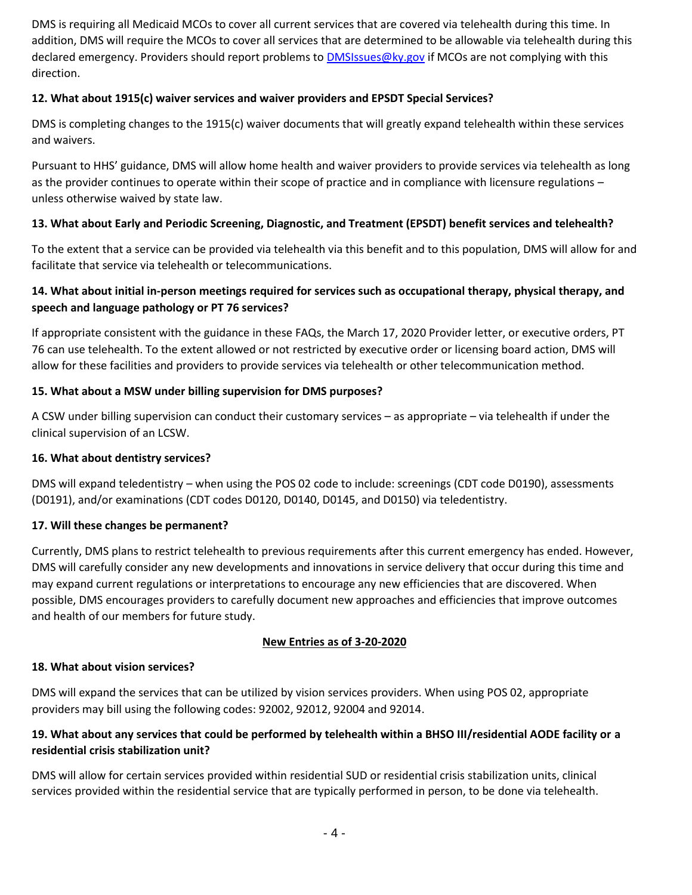DMS is requiring all Medicaid MCOs to cover all current services that are covered via telehealth during this time. In addition, DMS will require the MCOs to cover all services that are determined to be allowable via telehealth during this declared emergency. Providers should report problems to [DMSIssues@ky.gov](mailto:DMSIssues@ky.gov) if MCOs are not complying with this direction.

### **12. What about 1915(c) waiver services and waiver providers and EPSDT Special Services?**

DMS is completing changes to the 1915(c) waiver documents that will greatly expand telehealth within these services and waivers.

Pursuant to HHS' guidance, DMS will allow home health and waiver providers to provide services via telehealth as long as the provider continues to operate within their scope of practice and in compliance with licensure regulations – unless otherwise waived by state law.

### **13. What about Early and Periodic Screening, Diagnostic, and Treatment (EPSDT) benefit services and telehealth?**

To the extent that a service can be provided via telehealth via this benefit and to this population, DMS will allow for and facilitate that service via telehealth or telecommunications.

## **14. What about initial in-person meetings required for services such as occupational therapy, physical therapy, and speech and language pathology or PT 76 services?**

If appropriate consistent with the guidance in these FAQs, the March 17, 2020 Provider letter, or executive orders, PT 76 can use telehealth. To the extent allowed or not restricted by executive order or licensing board action, DMS will allow for these facilities and providers to provide services via telehealth or other telecommunication method.

#### **15. What about a MSW under billing supervision for DMS purposes?**

A CSW under billing supervision can conduct their customary services – as appropriate – via telehealth if under the clinical supervision of an LCSW.

#### **16. What about dentistry services?**

DMS will expand teledentistry – when using the POS 02 code to include: screenings (CDT code D0190), assessments (D0191), and/or examinations (CDT codes D0120, D0140, D0145, and D0150) via teledentistry.

#### **17. Will these changes be permanent?**

Currently, DMS plans to restrict telehealth to previous requirements after this current emergency has ended. However, DMS will carefully consider any new developments and innovations in service delivery that occur during this time and may expand current regulations or interpretations to encourage any new efficiencies that are discovered. When possible, DMS encourages providers to carefully document new approaches and efficiencies that improve outcomes and health of our members for future study.

#### **New Entries as of 3-20-2020**

#### **18. What about vision services?**

DMS will expand the services that can be utilized by vision services providers. When using POS 02, appropriate providers may bill using the following codes: 92002, 92012, 92004 and 92014.

### **19. What about any services that could be performed by telehealth within a BHSO III/residential AODE facility or a residential crisis stabilization unit?**

DMS will allow for certain services provided within residential SUD or residential crisis stabilization units, clinical services provided within the residential service that are typically performed in person, to be done via telehealth.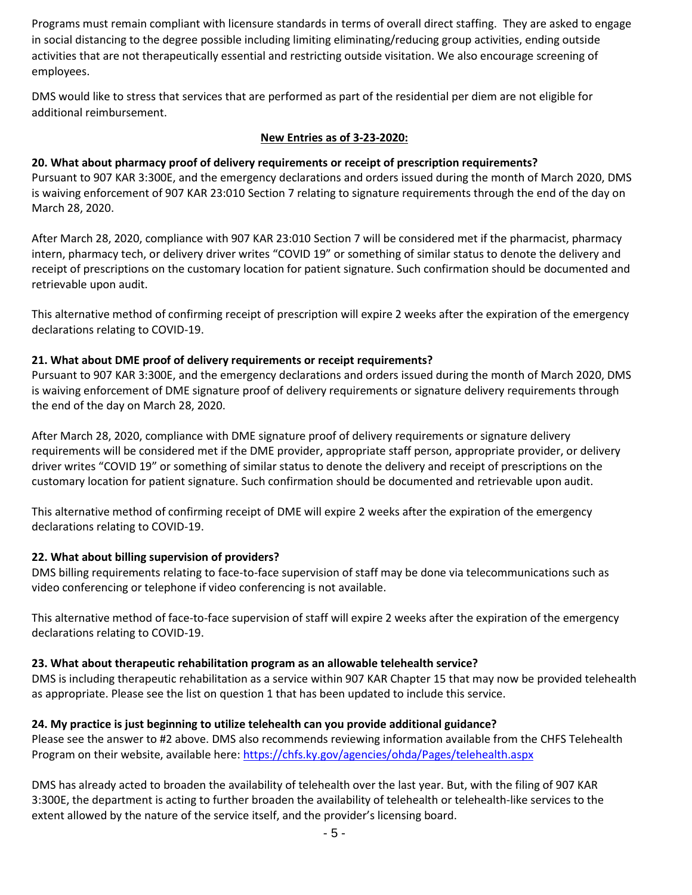Programs must remain compliant with licensure standards in terms of overall direct staffing. They are asked to engage in social distancing to the degree possible including limiting eliminating/reducing group activities, ending outside activities that are not therapeutically essential and restricting outside visitation. We also encourage screening of employees.

DMS would like to stress that services that are performed as part of the residential per diem are not eligible for additional reimbursement.

### **New Entries as of 3-23-2020:**

## **20. What about pharmacy proof of delivery requirements or receipt of prescription requirements?**

Pursuant to 907 KAR 3:300E, and the emergency declarations and orders issued during the month of March 2020, DMS is waiving enforcement of 907 KAR 23:010 Section 7 relating to signature requirements through the end of the day on March 28, 2020.

After March 28, 2020, compliance with 907 KAR 23:010 Section 7 will be considered met if the pharmacist, pharmacy intern, pharmacy tech, or delivery driver writes "COVID 19" or something of similar status to denote the delivery and receipt of prescriptions on the customary location for patient signature. Such confirmation should be documented and retrievable upon audit.

This alternative method of confirming receipt of prescription will expire 2 weeks after the expiration of the emergency declarations relating to COVID-19.

### **21. What about DME proof of delivery requirements or receipt requirements?**

Pursuant to 907 KAR 3:300E, and the emergency declarations and orders issued during the month of March 2020, DMS is waiving enforcement of DME signature proof of delivery requirements or signature delivery requirements through the end of the day on March 28, 2020.

After March 28, 2020, compliance with DME signature proof of delivery requirements or signature delivery requirements will be considered met if the DME provider, appropriate staff person, appropriate provider, or delivery driver writes "COVID 19" or something of similar status to denote the delivery and receipt of prescriptions on the customary location for patient signature. Such confirmation should be documented and retrievable upon audit.

This alternative method of confirming receipt of DME will expire 2 weeks after the expiration of the emergency declarations relating to COVID-19.

### **22. What about billing supervision of providers?**

DMS billing requirements relating to face-to-face supervision of staff may be done via telecommunications such as video conferencing or telephone if video conferencing is not available.

This alternative method of face-to-face supervision of staff will expire 2 weeks after the expiration of the emergency declarations relating to COVID-19.

### **23. What about therapeutic rehabilitation program as an allowable telehealth service?**

DMS is including therapeutic rehabilitation as a service within 907 KAR Chapter 15 that may now be provided telehealth as appropriate. Please see the list on question 1 that has been updated to include this service.

### **24. My practice is just beginning to utilize telehealth can you provide additional guidance?**

Please see the answer to #2 above. DMS also recommends reviewing information available from the CHFS Telehealth Program on their website, available here: <https://chfs.ky.gov/agencies/ohda/Pages/telehealth.aspx>

DMS has already acted to broaden the availability of telehealth over the last year. But, with the filing of 907 KAR 3:300E, the department is acting to further broaden the availability of telehealth or telehealth-like services to the extent allowed by the nature of the service itself, and the provider's licensing board.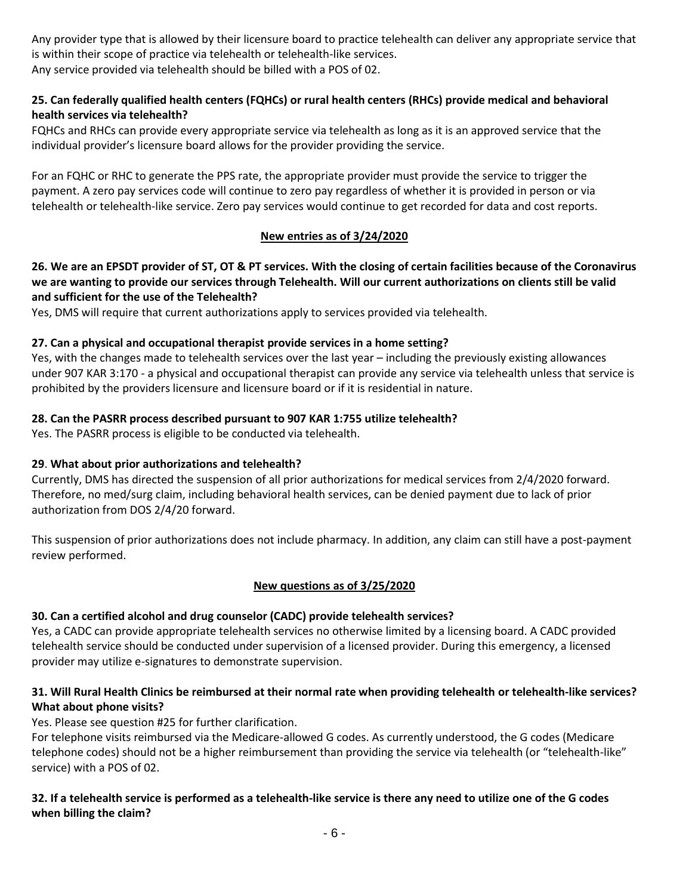Any provider type that is allowed by their licensure board to practice telehealth can deliver any appropriate service that is within their scope of practice via telehealth or telehealth-like services. Any service provided via telehealth should be billed with a POS of 02.

## **25. Can federally qualified health centers (FQHCs) or rural health centers (RHCs) provide medical and behavioral health services via telehealth?**

FQHCs and RHCs can provide every appropriate service via telehealth as long as it is an approved service that the individual provider's licensure board allows for the provider providing the service.

For an FQHC or RHC to generate the PPS rate, the appropriate provider must provide the service to trigger the payment. A zero pay services code will continue to zero pay regardless of whether it is provided in person or via telehealth or telehealth-like service. Zero pay services would continue to get recorded for data and cost reports.

## **New entries as of 3/24/2020**

### **26. We are an EPSDT provider of ST, OT & PT services. With the closing of certain facilities because of the Coronavirus we are wanting to provide our services through Telehealth. Will our current authorizations on clients still be valid and sufficient for the use of the Telehealth?**

Yes, DMS will require that current authorizations apply to services provided via telehealth.

## **27. Can a physical and occupational therapist provide services in a home setting?**

Yes, with the changes made to telehealth services over the last year – including the previously existing allowances under 907 KAR 3:170 - a physical and occupational therapist can provide any service via telehealth unless that service is prohibited by the providers licensure and licensure board or if it is residential in nature.

## **28. Can the PASRR process described pursuant to 907 KAR 1:755 utilize telehealth?**

Yes. The PASRR process is eligible to be conducted via telehealth.

### **29**. **What about prior authorizations and telehealth?**

Currently, DMS has directed the suspension of all prior authorizations for medical services from 2/4/2020 forward. Therefore, no med/surg claim, including behavioral health services, can be denied payment due to lack of prior authorization from DOS 2/4/20 forward.

This suspension of prior authorizations does not include pharmacy. In addition, any claim can still have a post-payment review performed.

### **New questions as of 3/25/2020**

### **30. Can a certified alcohol and drug counselor (CADC) provide telehealth services?**

Yes, a CADC can provide appropriate telehealth services no otherwise limited by a licensing board. A CADC provided telehealth service should be conducted under supervision of a licensed provider. During this emergency, a licensed provider may utilize e-signatures to demonstrate supervision.

### **31. Will Rural Health Clinics be reimbursed at their normal rate when providing telehealth or telehealth-like services? What about phone visits?**

Yes. Please see question #25 for further clarification.

For telephone visits reimbursed via the Medicare-allowed G codes. As currently understood, the G codes (Medicare telephone codes) should not be a higher reimbursement than providing the service via telehealth (or "telehealth-like" service) with a POS of 02.

### **32. If a telehealth service is performed as a telehealth-like service is there any need to utilize one of the G codes when billing the claim?**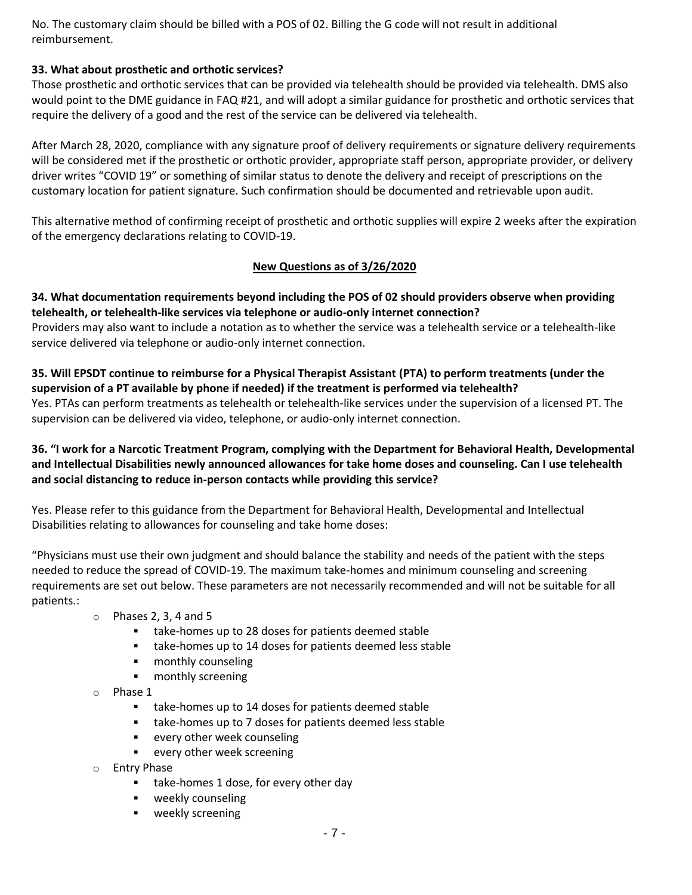No. The customary claim should be billed with a POS of 02. Billing the G code will not result in additional reimbursement.

#### **33. What about prosthetic and orthotic services?**

Those prosthetic and orthotic services that can be provided via telehealth should be provided via telehealth. DMS also would point to the DME guidance in FAQ #21, and will adopt a similar guidance for prosthetic and orthotic services that require the delivery of a good and the rest of the service can be delivered via telehealth.

After March 28, 2020, compliance with any signature proof of delivery requirements or signature delivery requirements will be considered met if the prosthetic or orthotic provider, appropriate staff person, appropriate provider, or delivery driver writes "COVID 19" or something of similar status to denote the delivery and receipt of prescriptions on the customary location for patient signature. Such confirmation should be documented and retrievable upon audit.

This alternative method of confirming receipt of prosthetic and orthotic supplies will expire 2 weeks after the expiration of the emergency declarations relating to COVID-19.

#### **New Questions as of 3/26/2020**

**34. What documentation requirements beyond including the POS of 02 should providers observe when providing telehealth, or telehealth-like services via telephone or audio-only internet connection?** Providers may also want to include a notation as to whether the service was a telehealth service or a telehealth-like

service delivered via telephone or audio-only internet connection.

#### **35. Will EPSDT continue to reimburse for a Physical Therapist Assistant (PTA) to perform treatments (under the supervision of a PT available by phone if needed) if the treatment is performed via telehealth?** Yes. PTAs can perform treatments as telehealth or telehealth-like services under the supervision of a licensed PT. The supervision can be delivered via video, telephone, or audio-only internet connection.

## **36. "I work for a Narcotic Treatment Program, complying with the Department for Behavioral Health, Developmental and Intellectual Disabilities newly announced allowances for take home doses and counseling. Can I use telehealth and social distancing to reduce in-person contacts while providing this service?**

Yes. Please refer to this guidance from the Department for Behavioral Health, Developmental and Intellectual Disabilities relating to allowances for counseling and take home doses:

"Physicians must use their own judgment and should balance the stability and needs of the patient with the steps needed to reduce the spread of COVID-19. The maximum take-homes and minimum counseling and screening requirements are set out below. These parameters are not necessarily recommended and will not be suitable for all patients.:

- $\circ$  Phases 2, 3, 4 and 5
	- take-homes up to 28 doses for patients deemed stable
	- take-homes up to 14 doses for patients deemed less stable
	- **monthly counseling**
	- **monthly screening**
- o Phase 1
	- take-homes up to 14 doses for patients deemed stable
	- take-homes up to 7 doses for patients deemed less stable
	- **EXECT** every other week counseling
	- **EXECUTE:** every other week screening
- o Entry Phase
	- take-homes 1 dose, for every other day
	- **weekly counseling**
	- **weekly screening**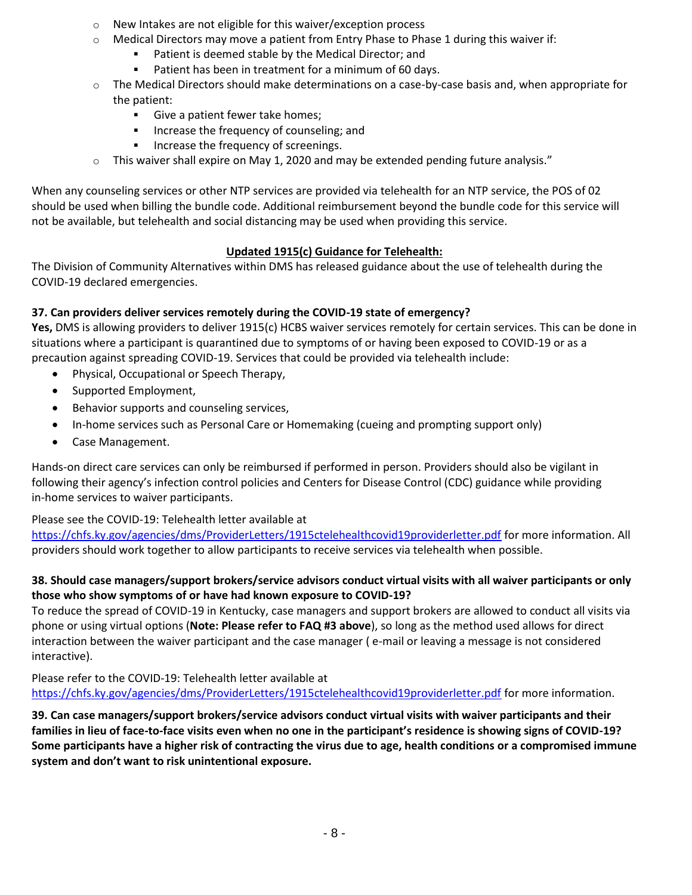- o New Intakes are not eligible for this waiver/exception process
- $\circ$  Medical Directors may move a patient from Entry Phase to Phase 1 during this waiver if:
	- **Patient is deemed stable by the Medical Director; and**
	- **Patient has been in treatment for a minimum of 60 days.**
- $\circ$  The Medical Directors should make determinations on a case-by-case basis and, when appropriate for the patient:
	- Give a patient fewer take homes;
	- **Increase the frequency of counseling; and**
	- **Increase the frequency of screenings.**
- $\circ$  This waiver shall expire on May 1, 2020 and may be extended pending future analysis."

When any counseling services or other NTP services are provided via telehealth for an NTP service, the POS of 02 should be used when billing the bundle code. Additional reimbursement beyond the bundle code for this service will not be available, but telehealth and social distancing may be used when providing this service.

# **Updated 1915(c) Guidance for Telehealth:**

The Division of Community Alternatives within DMS has released guidance about the use of telehealth during the COVID-19 declared emergencies.

# **37. Can providers deliver services remotely during the COVID-19 state of emergency?**

**Yes,** DMS is allowing providers to deliver 1915(c) HCBS waiver services remotely for certain services. This can be done in situations where a participant is quarantined due to symptoms of or having been exposed to COVID-19 or as a precaution against spreading COVID-19. Services that could be provided via telehealth include:

- Physical, Occupational or Speech Therapy,
- Supported Employment,
- Behavior supports and counseling services,
- In-home services such as Personal Care or Homemaking (cueing and prompting support only)
- Case Management.

Hands-on direct care services can only be reimbursed if performed in person. Providers should also be vigilant in following their agency's infection control policies and Centers for Disease Control (CDC) guidance while providing in-home services to waiver participants.

# Please see the COVID-19: Telehealth letter available at

<https://chfs.ky.gov/agencies/dms/ProviderLetters/1915ctelehealthcovid19providerletter.pdf> for more information. All providers should work together to allow participants to receive services via telehealth when possible.

# **38. Should case managers/support brokers/service advisors conduct virtual visits with all waiver participants or only those who show symptoms of or have had known exposure to COVID-19?**

To reduce the spread of COVID-19 in Kentucky, case managers and support brokers are allowed to conduct all visits via phone or using virtual options (**Note: Please refer to FAQ #3 above**), so long as the method used allows for direct interaction between the waiver participant and the case manager ( e-mail or leaving a message is not considered interactive).

Please refer to the COVID-19: Telehealth letter available at

<https://chfs.ky.gov/agencies/dms/ProviderLetters/1915ctelehealthcovid19providerletter.pdf> for more information.

**39. Can case managers/support brokers/service advisors conduct virtual visits with waiver participants and their families in lieu of face-to-face visits even when no one in the participant's residence is showing signs of COVID-19? Some participants have a higher risk of contracting the virus due to age, health conditions or a compromised immune system and don't want to risk unintentional exposure.**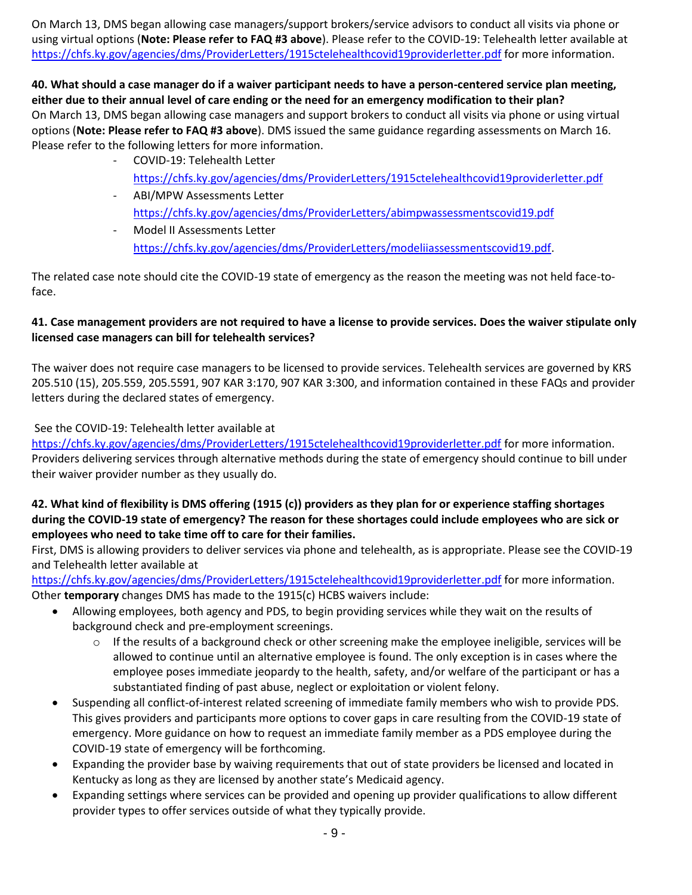On March 13, DMS began allowing case managers/support brokers/service advisors to conduct all visits via phone or using virtual options (**Note: Please refer to FAQ #3 above**). Please refer to the COVID-19: Telehealth letter available at <https://chfs.ky.gov/agencies/dms/ProviderLetters/1915ctelehealthcovid19providerletter.pdf> for more information.

**40. What should a case manager do if a waiver participant needs to have a person-centered service plan meeting, either due to their annual level of care ending or the need for an emergency modification to their plan?** On March 13, DMS began allowing case managers and support brokers to conduct all visits via phone or using virtual options (**Note: Please refer to FAQ #3 above**). DMS issued the same guidance regarding assessments on March 16. Please refer to the following letters for more information.

- COVID-19: Telehealth Letter <https://chfs.ky.gov/agencies/dms/ProviderLetters/1915ctelehealthcovid19providerletter.pdf>
- ABI/MPW Assessments Letter <https://chfs.ky.gov/agencies/dms/ProviderLetters/abimpwassessmentscovid19.pdf>
- Model II Assessments Letter [https://chfs.ky.gov/agencies/dms/ProviderLetters/modeliiassessmentscovid19.pdf.](https://chfs.ky.gov/agencies/dms/ProviderLetters/modeliiassessmentscovid19.pdf)

The related case note should cite the COVID-19 state of emergency as the reason the meeting was not held face-toface.

## **41. Case management providers are not required to have a license to provide services. Does the waiver stipulate only licensed case managers can bill for telehealth services?**

The waiver does not require case managers to be licensed to provide services. Telehealth services are governed by KRS 205.510 (15), 205.559, 205.5591, 907 KAR 3:170, 907 KAR 3:300, and information contained in these FAQs and provider letters during the declared states of emergency.

See the COVID-19: Telehealth letter available at

<https://chfs.ky.gov/agencies/dms/ProviderLetters/1915ctelehealthcovid19providerletter.pdf> for more information. Providers delivering services through alternative methods during the state of emergency should continue to bill under their waiver provider number as they usually do.

## **42. What kind of flexibility is DMS offering (1915 (c)) providers as they plan for or experience staffing shortages during the COVID-19 state of emergency? The reason for these shortages could include employees who are sick or employees who need to take time off to care for their families.**

First, DMS is allowing providers to deliver services via phone and telehealth, as is appropriate. Please see the COVID-19 and Telehealth letter available at

<https://chfs.ky.gov/agencies/dms/ProviderLetters/1915ctelehealthcovid19providerletter.pdf> for more information. Other **temporary** changes DMS has made to the 1915(c) HCBS waivers include:

- Allowing employees, both agency and PDS, to begin providing services while they wait on the results of background check and pre-employment screenings.
	- $\circ$  If the results of a background check or other screening make the employee ineligible, services will be allowed to continue until an alternative employee is found. The only exception is in cases where the employee poses immediate jeopardy to the health, safety, and/or welfare of the participant or has a substantiated finding of past abuse, neglect or exploitation or violent felony.
- Suspending all conflict-of-interest related screening of immediate family members who wish to provide PDS. This gives providers and participants more options to cover gaps in care resulting from the COVID-19 state of emergency. More guidance on how to request an immediate family member as a PDS employee during the COVID-19 state of emergency will be forthcoming.
- Expanding the provider base by waiving requirements that out of state providers be licensed and located in Kentucky as long as they are licensed by another state's Medicaid agency.
- Expanding settings where services can be provided and opening up provider qualifications to allow different provider types to offer services outside of what they typically provide.